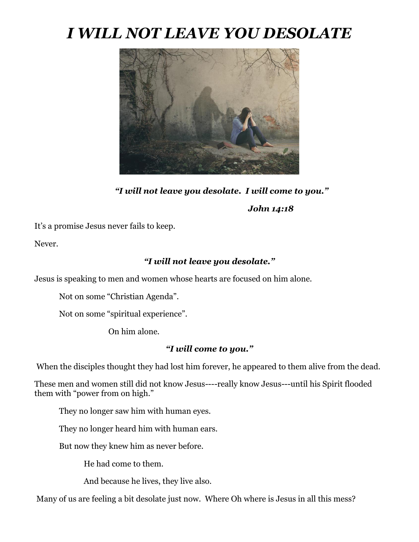## *I WILL NOT LEAVE YOU DESOLATE*



*"I will not leave you desolate. I will come to you."* 

*John 14:18* 

It's a promise Jesus never fails to keep.

Never.

## *"I will not leave you desolate."*

Jesus is speaking to men and women whose hearts are focused on him alone.

Not on some "Christian Agenda".

Not on some "spiritual experience".

On him alone.

## *"I will come to you."*

When the disciples thought they had lost him forever, he appeared to them alive from the dead.

These men and women still did not know Jesus----really know Jesus---until his Spirit flooded them with "power from on high."

They no longer saw him with human eyes.

They no longer heard him with human ears.

But now they knew him as never before.

He had come to them.

And because he lives, they live also.

Many of us are feeling a bit desolate just now. Where Oh where is Jesus in all this mess?